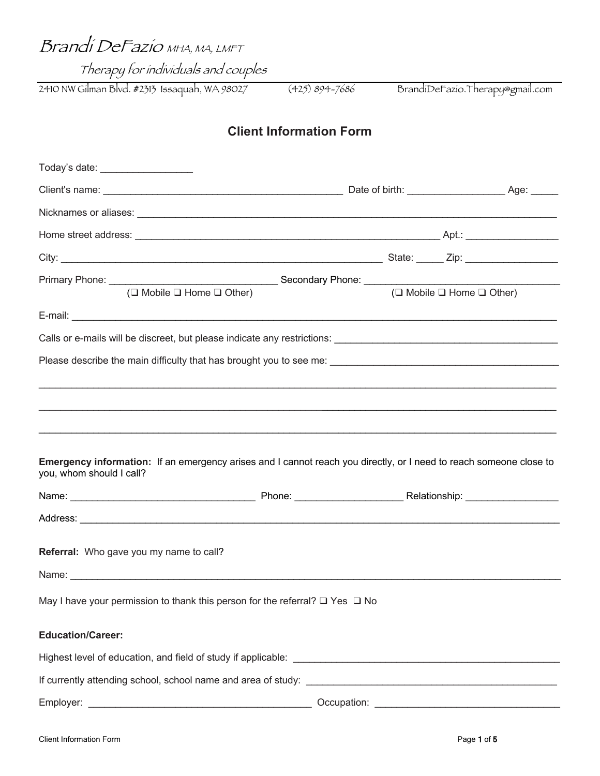Brandi DeFazio MHA, MA, LMFT

Therapy for individuals and couples

2410 NW Gilman Blvd. #2313 Issaquah, WA 98027 (425) 894-7686 BrandiDeFazio.Therapy@gmail.com

# **Client Information Form**

| $(\square$ Mobile $\square$ Home $\square$ Other)                                                                                              | $(\Box$ Mobile $\Box$ Home $\Box$ Other) |  |
|------------------------------------------------------------------------------------------------------------------------------------------------|------------------------------------------|--|
|                                                                                                                                                |                                          |  |
|                                                                                                                                                |                                          |  |
|                                                                                                                                                |                                          |  |
|                                                                                                                                                |                                          |  |
|                                                                                                                                                |                                          |  |
|                                                                                                                                                |                                          |  |
| Emergency information: If an emergency arises and I cannot reach you directly, or I need to reach someone close to<br>you, whom should I call? |                                          |  |
|                                                                                                                                                |                                          |  |
|                                                                                                                                                |                                          |  |
|                                                                                                                                                |                                          |  |
|                                                                                                                                                |                                          |  |
| Referral: Who gave you my name to call?                                                                                                        |                                          |  |
|                                                                                                                                                |                                          |  |
| May I have your permission to thank this person for the referral? $\Box$ Yes $\Box$ No                                                         |                                          |  |
| <b>Education/Career:</b>                                                                                                                       |                                          |  |
|                                                                                                                                                |                                          |  |
|                                                                                                                                                |                                          |  |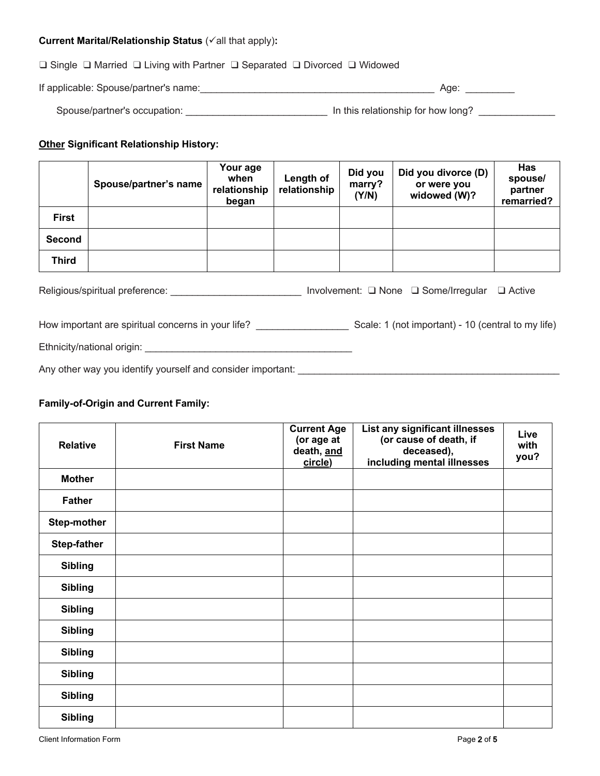## **Current Marital/Relationship Status (** $\checkmark$  **all that apply):**

## ❑ Single ❑ Married ❑ Living with Partner ❑ Separated ❑ Divorced ❑ Widowed

| If applicable: Spouse/partner's name: |  | Aae |  |
|---------------------------------------|--|-----|--|
|---------------------------------------|--|-----|--|

| Spouse/partner's occupation: | In this relationship for how long? |  |
|------------------------------|------------------------------------|--|
|------------------------------|------------------------------------|--|

### **Other Significant Relationship History:**

|                                                                                          | Spouse/partner's name | Your age<br>when<br>relationship<br>began | Length of<br>relationship | Did you<br>marry?<br>(Y/N) | Did you divorce (D)<br>or were you<br>widowed (W)? | <b>Has</b><br>spouse/<br>partner<br>remarried? |
|------------------------------------------------------------------------------------------|-----------------------|-------------------------------------------|---------------------------|----------------------------|----------------------------------------------------|------------------------------------------------|
| <b>First</b>                                                                             |                       |                                           |                           |                            |                                                    |                                                |
| <b>Second</b>                                                                            |                       |                                           |                           |                            |                                                    |                                                |
| Third                                                                                    |                       |                                           |                           |                            |                                                    |                                                |
| Religious/spiritual preference:<br>Involvement: □ None □ Some/Irregular<br>$\Box$ Active |                       |                                           |                           |                            |                                                    |                                                |

How important are spiritual concerns in your life? \_\_\_\_\_\_\_\_\_\_\_\_\_\_\_\_\_ Scale: 1 (not important) - 10 (central to my life)

Ethnicity/national origin: \_\_\_\_\_\_\_\_\_\_\_\_\_\_\_\_\_\_\_\_\_\_\_\_\_\_\_\_\_\_\_\_\_\_\_\_\_\_

Any other way you identify yourself and consider important: \_\_\_\_\_\_\_\_\_\_\_\_\_\_\_\_\_\_\_\_\_\_\_\_\_\_\_\_\_\_\_\_\_\_\_\_\_\_\_\_\_\_\_\_\_\_\_\_

## **Family-of-Origin and Current Family:**

| <b>Relative</b>    | <b>First Name</b> | <b>Current Age</b><br>(or age at<br>death, and<br>circle) | List any significant illnesses<br>(or cause of death, if<br>deceased),<br>including mental illnesses | Live<br>with<br>you? |
|--------------------|-------------------|-----------------------------------------------------------|------------------------------------------------------------------------------------------------------|----------------------|
| <b>Mother</b>      |                   |                                                           |                                                                                                      |                      |
| <b>Father</b>      |                   |                                                           |                                                                                                      |                      |
| <b>Step-mother</b> |                   |                                                           |                                                                                                      |                      |
| <b>Step-father</b> |                   |                                                           |                                                                                                      |                      |
| <b>Sibling</b>     |                   |                                                           |                                                                                                      |                      |
| <b>Sibling</b>     |                   |                                                           |                                                                                                      |                      |
| <b>Sibling</b>     |                   |                                                           |                                                                                                      |                      |
| <b>Sibling</b>     |                   |                                                           |                                                                                                      |                      |
| <b>Sibling</b>     |                   |                                                           |                                                                                                      |                      |
| <b>Sibling</b>     |                   |                                                           |                                                                                                      |                      |
| <b>Sibling</b>     |                   |                                                           |                                                                                                      |                      |
| <b>Sibling</b>     |                   |                                                           |                                                                                                      |                      |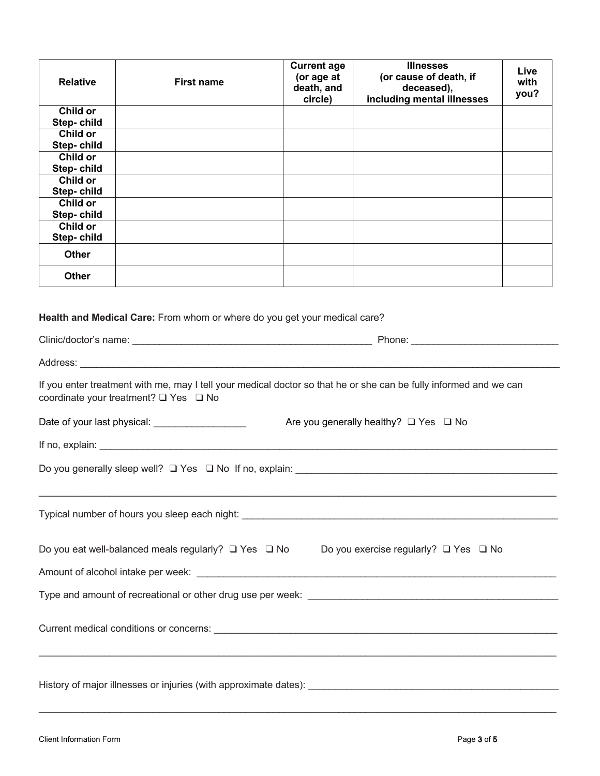| <b>Relative</b>               | <b>First name</b>                                                 | <b>Current age</b><br>(or age at<br>death, and<br>circle) | <b>Illnesses</b><br>(or cause of death, if<br>deceased),<br>including mental illnesses                            | Live<br>with<br>you? |
|-------------------------------|-------------------------------------------------------------------|-----------------------------------------------------------|-------------------------------------------------------------------------------------------------------------------|----------------------|
| Child or                      |                                                                   |                                                           |                                                                                                                   |                      |
| Step-child<br>Child or        |                                                                   |                                                           |                                                                                                                   |                      |
| Step-child                    |                                                                   |                                                           |                                                                                                                   |                      |
| Child or                      |                                                                   |                                                           |                                                                                                                   |                      |
| Step-child<br><b>Child or</b> |                                                                   |                                                           |                                                                                                                   |                      |
| Step-child                    |                                                                   |                                                           |                                                                                                                   |                      |
| <b>Child or</b><br>Step-child |                                                                   |                                                           |                                                                                                                   |                      |
| Child or<br>Step-child        |                                                                   |                                                           |                                                                                                                   |                      |
| <b>Other</b>                  |                                                                   |                                                           |                                                                                                                   |                      |
| <b>Other</b>                  |                                                                   |                                                           |                                                                                                                   |                      |
|                               | coordinate your treatment? □ Yes □ No                             |                                                           | If you enter treatment with me, may I tell your medical doctor so that he or she can be fully informed and we can |                      |
|                               | Date of your last physical: Date of your last physical:           |                                                           | Are you generally healthy? $\Box$ Yes $\Box$ No                                                                   |                      |
|                               |                                                                   |                                                           |                                                                                                                   |                      |
|                               | Do you generally sleep well? $\Box$ Yes $\Box$ No If no, explain: |                                                           |                                                                                                                   |                      |
|                               |                                                                   |                                                           |                                                                                                                   |                      |
|                               |                                                                   |                                                           | Do you eat well-balanced meals regularly? □ Yes □ No Do you exercise regularly? □ Yes □ No                        |                      |
|                               |                                                                   |                                                           |                                                                                                                   |                      |
|                               |                                                                   |                                                           |                                                                                                                   |                      |
|                               |                                                                   |                                                           |                                                                                                                   |                      |
|                               |                                                                   |                                                           |                                                                                                                   |                      |
|                               |                                                                   |                                                           |                                                                                                                   |                      |

 $\mathcal{L}_\mathcal{L} = \mathcal{L}_\mathcal{L} = \mathcal{L}_\mathcal{L} = \mathcal{L}_\mathcal{L} = \mathcal{L}_\mathcal{L} = \mathcal{L}_\mathcal{L} = \mathcal{L}_\mathcal{L} = \mathcal{L}_\mathcal{L} = \mathcal{L}_\mathcal{L} = \mathcal{L}_\mathcal{L} = \mathcal{L}_\mathcal{L} = \mathcal{L}_\mathcal{L} = \mathcal{L}_\mathcal{L} = \mathcal{L}_\mathcal{L} = \mathcal{L}_\mathcal{L} = \mathcal{L}_\mathcal{L} = \mathcal{L}_\mathcal{L}$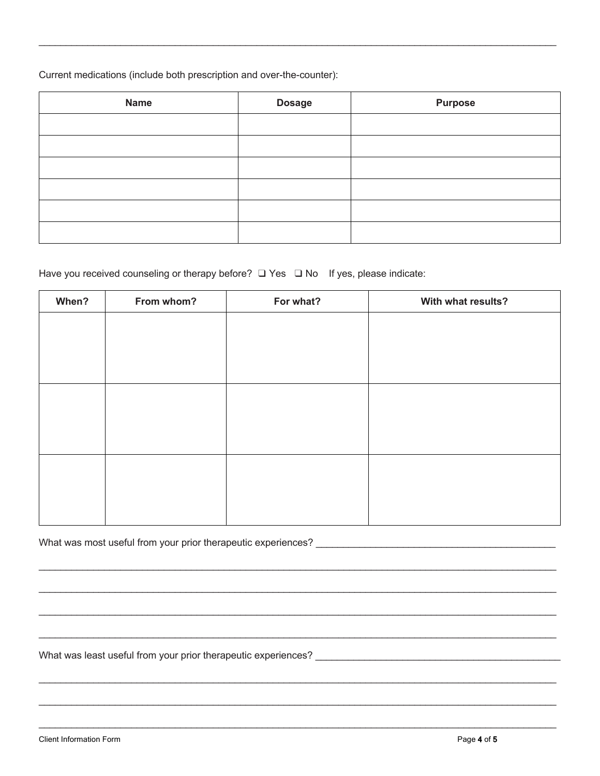Current medications (include both prescription and over-the-counter):

| <b>Name</b> | <b>Dosage</b> | <b>Purpose</b> |
|-------------|---------------|----------------|
|             |               |                |
|             |               |                |
|             |               |                |
|             |               |                |
|             |               |                |
|             |               |                |

## Have you received counseling or therapy before? □ Yes □ No If yes, please indicate:

| When? | From whom? | For what? | With what results? |
|-------|------------|-----------|--------------------|
|       |            |           |                    |
|       |            |           |                    |
|       |            |           |                    |
|       |            |           |                    |
|       |            |           |                    |
|       |            |           |                    |
|       |            |           |                    |
|       |            |           |                    |
|       |            |           |                    |